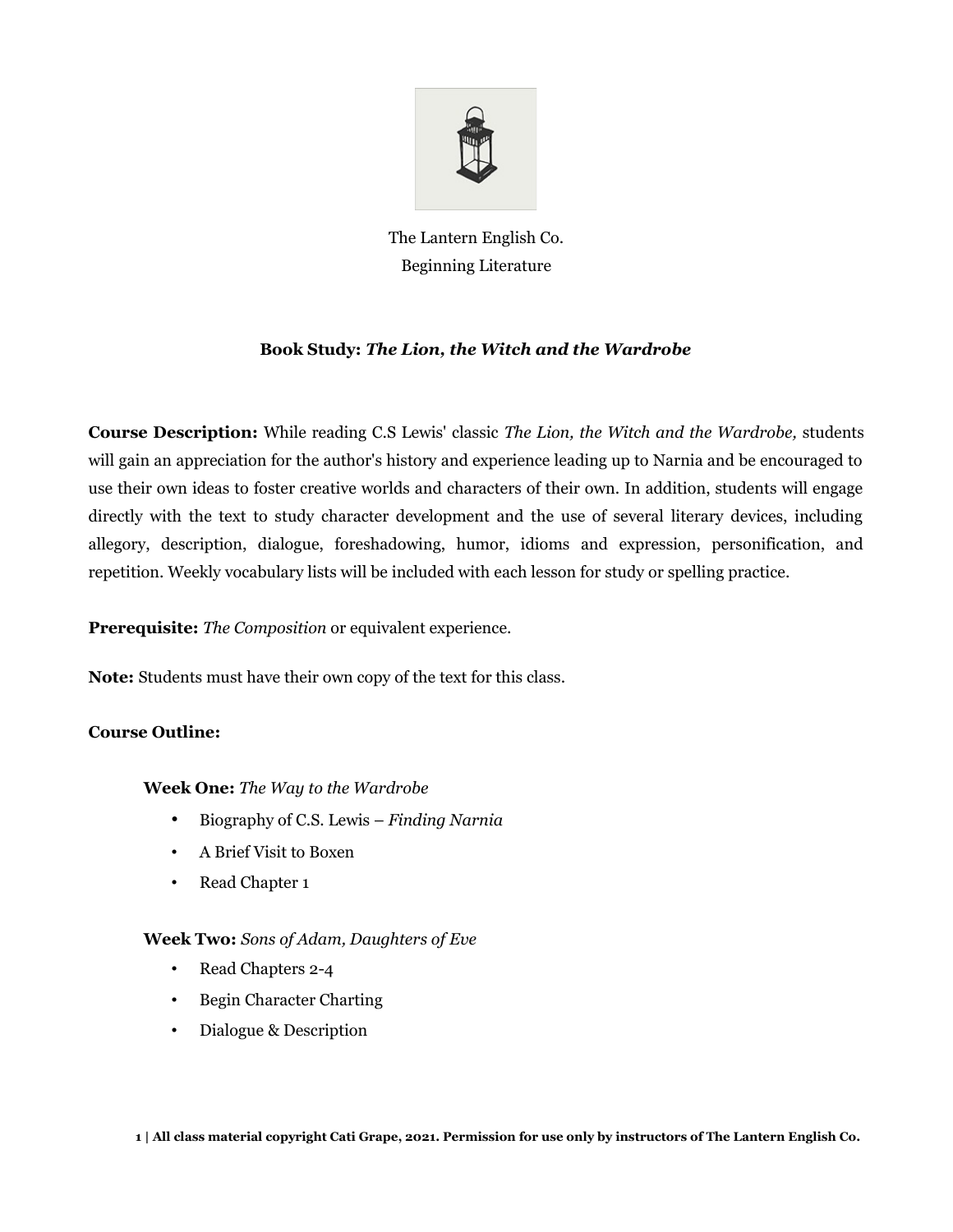

The Lantern English Co. Beginning Literature

# **Book Study:** *The Lion, the Witch and the Wardrobe*

**Course Description:** While reading C.S Lewis' classic *The Lion, the Witch and the Wardrobe,* students will gain an appreciation for the author's history and experience leading up to Narnia and be encouraged to use their own ideas to foster creative worlds and characters of their own. In addition, students will engage directly with the text to study character development and the use of several literary devices, including allegory, description, dialogue, foreshadowing, humor, idioms and expression, personification, and repetition. Weekly vocabulary lists will be included with each lesson for study or spelling practice.

**Prerequisite:** *The Composition* or equivalent experience.

**Note:** Students must have their own copy of the text for this class.

# **Course Outline:**

# **Week One:** *The Way to the Wardrobe*

- Biography of C.S. Lewis *Finding Narnia*
- A Brief Visit to Boxen
- Read Chapter 1

# **Week Two:** *Sons of Adam, Daughters of Eve*

- Read Chapters 2-4
- Begin Character Charting
- Dialogue & Description